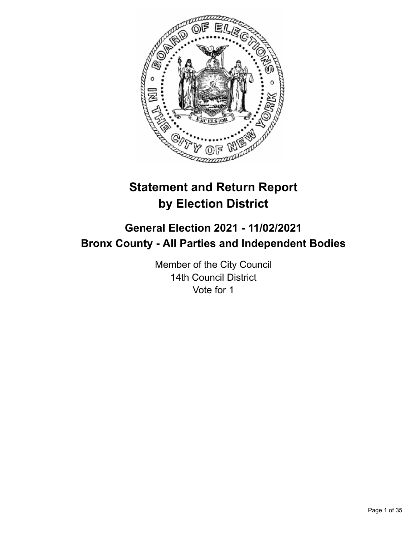

# **Statement and Return Report by Election District**

# **General Election 2021 - 11/02/2021 Bronx County - All Parties and Independent Bodies**

Member of the City Council 14th Council District Vote for 1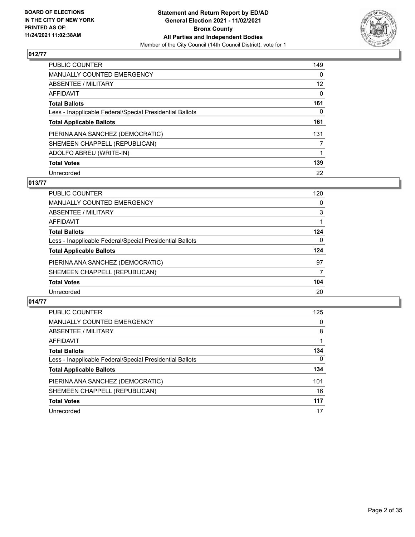

| PUBLIC COUNTER                                           | 149      |
|----------------------------------------------------------|----------|
| <b>MANUALLY COUNTED EMERGENCY</b>                        | 0        |
| ABSENTEE / MILITARY                                      | 12       |
| AFFIDAVIT                                                | $\Omega$ |
| <b>Total Ballots</b>                                     | 161      |
| Less - Inapplicable Federal/Special Presidential Ballots | $\Omega$ |
| <b>Total Applicable Ballots</b>                          | 161      |
| PIERINA ANA SANCHEZ (DEMOCRATIC)                         | 131      |
| SHEMEEN CHAPPELL (REPUBLICAN)                            | 7        |
| ADOLFO ABREU (WRITE-IN)                                  |          |
| <b>Total Votes</b>                                       | 139      |
| Unrecorded                                               | 22       |

# **013/77**

| PUBLIC COUNTER                                           | 120      |
|----------------------------------------------------------|----------|
| <b>MANUALLY COUNTED EMERGENCY</b>                        | 0        |
| ABSENTEE / MILITARY                                      | 3        |
| AFFIDAVIT                                                |          |
| <b>Total Ballots</b>                                     | 124      |
| Less - Inapplicable Federal/Special Presidential Ballots | $\Omega$ |
| <b>Total Applicable Ballots</b>                          | 124      |
| PIERINA ANA SANCHEZ (DEMOCRATIC)                         | 97       |
| SHEMEEN CHAPPELL (REPUBLICAN)                            | 7        |
| <b>Total Votes</b>                                       | 104      |
| Unrecorded                                               | 20       |

| <b>PUBLIC COUNTER</b>                                    | 125          |
|----------------------------------------------------------|--------------|
| MANUALLY COUNTED EMERGENCY                               | 0            |
| ABSENTEE / MILITARY                                      | 8            |
| AFFIDAVIT                                                |              |
| <b>Total Ballots</b>                                     | 134          |
| Less - Inapplicable Federal/Special Presidential Ballots | $\mathbf{0}$ |
| <b>Total Applicable Ballots</b>                          | 134          |
| PIERINA ANA SANCHEZ (DEMOCRATIC)                         | 101          |
| SHEMEEN CHAPPELL (REPUBLICAN)                            | 16           |
| <b>Total Votes</b>                                       | 117          |
| Unrecorded                                               | 17           |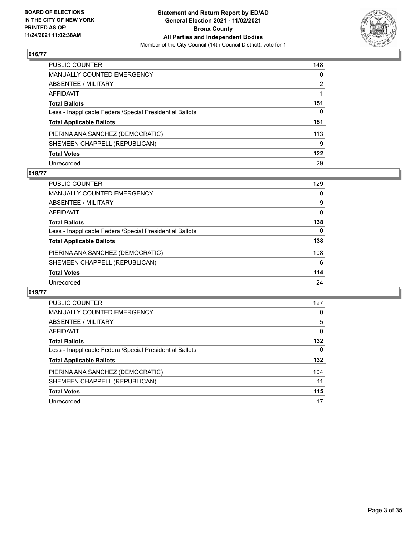

| PUBLIC COUNTER                                           | 148          |
|----------------------------------------------------------|--------------|
| MANUALLY COUNTED EMERGENCY                               | 0            |
| ABSENTEE / MILITARY                                      | 2            |
| AFFIDAVIT                                                |              |
| Total Ballots                                            | 151          |
| Less - Inapplicable Federal/Special Presidential Ballots | $\mathbf{0}$ |
| <b>Total Applicable Ballots</b>                          | 151          |
| PIERINA ANA SANCHEZ (DEMOCRATIC)                         | 113          |
| SHEMEEN CHAPPELL (REPUBLICAN)                            | 9            |
| <b>Total Votes</b>                                       | 122          |
| Unrecorded                                               | 29           |

## **018/77**

| PUBLIC COUNTER                                           | 129      |
|----------------------------------------------------------|----------|
| MANUALLY COUNTED EMERGENCY                               | 0        |
| ABSENTEE / MILITARY                                      | 9        |
| AFFIDAVIT                                                | $\Omega$ |
| <b>Total Ballots</b>                                     | 138      |
| Less - Inapplicable Federal/Special Presidential Ballots | 0        |
| <b>Total Applicable Ballots</b>                          | 138      |
| PIERINA ANA SANCHEZ (DEMOCRATIC)                         | 108      |
| SHEMEEN CHAPPELL (REPUBLICAN)                            | 6        |
| <b>Total Votes</b>                                       | 114      |
| Unrecorded                                               | 24       |

| <b>PUBLIC COUNTER</b>                                    | 127      |
|----------------------------------------------------------|----------|
| <b>MANUALLY COUNTED EMERGENCY</b>                        | 0        |
| <b>ABSENTEE / MILITARY</b>                               | 5        |
| AFFIDAVIT                                                | $\Omega$ |
| <b>Total Ballots</b>                                     | 132      |
| Less - Inapplicable Federal/Special Presidential Ballots | 0        |
| <b>Total Applicable Ballots</b>                          | 132      |
| PIERINA ANA SANCHEZ (DEMOCRATIC)                         | 104      |
| SHEMEEN CHAPPELL (REPUBLICAN)                            | 11       |
| <b>Total Votes</b>                                       | 115      |
| Unrecorded                                               | 17       |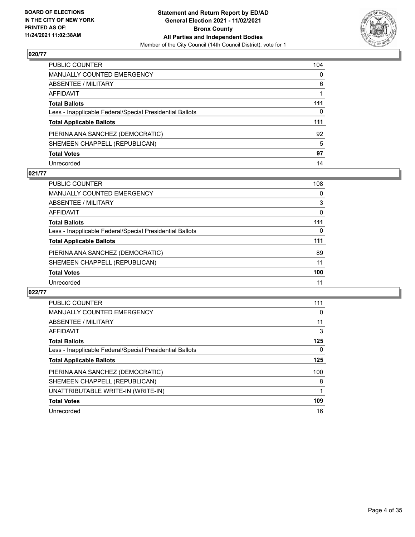

| PUBLIC COUNTER                                           | 104          |
|----------------------------------------------------------|--------------|
| MANUALLY COUNTED EMERGENCY                               | $\mathbf{0}$ |
| ABSENTEE / MILITARY                                      | 6            |
| AFFIDAVIT                                                |              |
| Total Ballots                                            | 111          |
| Less - Inapplicable Federal/Special Presidential Ballots | 0            |
| <b>Total Applicable Ballots</b>                          | 111          |
| PIERINA ANA SANCHEZ (DEMOCRATIC)                         | 92           |
| SHEMEEN CHAPPELL (REPUBLICAN)                            | 5            |
| <b>Total Votes</b>                                       | 97           |
| Unrecorded                                               | 14           |

## **021/77**

| <b>PUBLIC COUNTER</b>                                    | 108      |
|----------------------------------------------------------|----------|
| <b>MANUALLY COUNTED EMERGENCY</b>                        | 0        |
| ABSENTEE / MILITARY                                      | 3        |
| AFFIDAVIT                                                | $\Omega$ |
| <b>Total Ballots</b>                                     | 111      |
| Less - Inapplicable Federal/Special Presidential Ballots | $\Omega$ |
| <b>Total Applicable Ballots</b>                          | 111      |
| PIERINA ANA SANCHEZ (DEMOCRATIC)                         | 89       |
| SHEMEEN CHAPPELL (REPUBLICAN)                            | 11       |
| <b>Total Votes</b>                                       | 100      |
| Unrecorded                                               | 11       |

| <b>PUBLIC COUNTER</b>                                    | 111 |
|----------------------------------------------------------|-----|
|                                                          |     |
| <b>MANUALLY COUNTED EMERGENCY</b>                        | 0   |
| ABSENTEE / MILITARY                                      | 11  |
| AFFIDAVIT                                                | 3   |
| <b>Total Ballots</b>                                     | 125 |
| Less - Inapplicable Federal/Special Presidential Ballots | 0   |
| <b>Total Applicable Ballots</b>                          | 125 |
| PIERINA ANA SANCHEZ (DEMOCRATIC)                         | 100 |
| SHEMEEN CHAPPELL (REPUBLICAN)                            | 8   |
| UNATTRIBUTABLE WRITE-IN (WRITE-IN)                       |     |
| <b>Total Votes</b>                                       | 109 |
| Unrecorded                                               | 16  |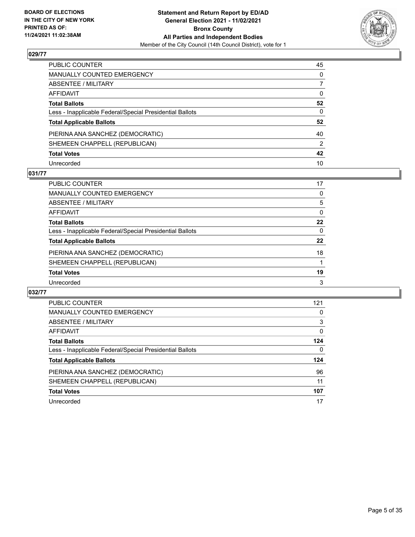

| PUBLIC COUNTER                                           | 45           |
|----------------------------------------------------------|--------------|
| MANUALLY COUNTED EMERGENCY                               | 0            |
| ABSENTEE / MILITARY                                      | 7            |
| AFFIDAVIT                                                | $\mathbf{0}$ |
| <b>Total Ballots</b>                                     | 52           |
| Less - Inapplicable Federal/Special Presidential Ballots | $\mathbf{0}$ |
| <b>Total Applicable Ballots</b>                          | 52           |
| PIERINA ANA SANCHEZ (DEMOCRATIC)                         | 40           |
| SHEMEEN CHAPPELL (REPUBLICAN)                            | 2            |
| <b>Total Votes</b>                                       | 42           |
| Unrecorded                                               | 10           |

## **031/77**

| <b>PUBLIC COUNTER</b>                                    | 17       |
|----------------------------------------------------------|----------|
| <b>MANUALLY COUNTED EMERGENCY</b>                        | 0        |
| ABSENTEE / MILITARY                                      | 5        |
| AFFIDAVIT                                                | $\Omega$ |
| <b>Total Ballots</b>                                     | 22       |
| Less - Inapplicable Federal/Special Presidential Ballots | $\Omega$ |
| <b>Total Applicable Ballots</b>                          | 22       |
| PIERINA ANA SANCHEZ (DEMOCRATIC)                         | 18       |
| SHEMEEN CHAPPELL (REPUBLICAN)                            |          |
| <b>Total Votes</b>                                       | 19       |
| Unrecorded                                               | 3        |

| <b>PUBLIC COUNTER</b>                                    | 121 |
|----------------------------------------------------------|-----|
| <b>MANUALLY COUNTED EMERGENCY</b>                        | 0   |
| <b>ABSENTEE / MILITARY</b>                               | 3   |
| AFFIDAVIT                                                | 0   |
| <b>Total Ballots</b>                                     | 124 |
| Less - Inapplicable Federal/Special Presidential Ballots | 0   |
| <b>Total Applicable Ballots</b>                          | 124 |
| PIERINA ANA SANCHEZ (DEMOCRATIC)                         | 96  |
| SHEMEEN CHAPPELL (REPUBLICAN)                            | 11  |
| <b>Total Votes</b>                                       | 107 |
| Unrecorded                                               | 17  |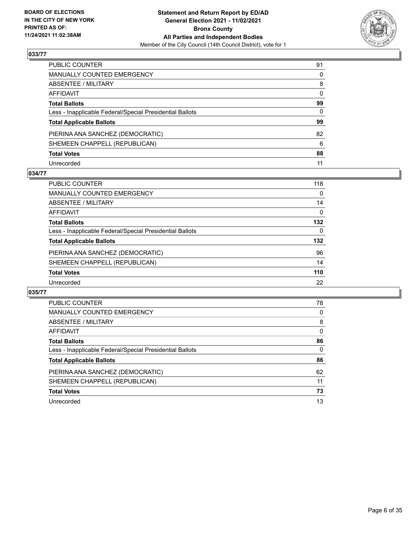

| PUBLIC COUNTER                                           | 91       |
|----------------------------------------------------------|----------|
| MANUALLY COUNTED EMERGENCY                               | $\Omega$ |
| ABSENTEE / MILITARY                                      | 8        |
| AFFIDAVIT                                                | $\Omega$ |
| <b>Total Ballots</b>                                     | 99       |
| Less - Inapplicable Federal/Special Presidential Ballots | 0        |
| <b>Total Applicable Ballots</b>                          | 99       |
| PIERINA ANA SANCHEZ (DEMOCRATIC)                         | 82       |
| SHEMEEN CHAPPELL (REPUBLICAN)                            | 6        |
| <b>Total Votes</b>                                       | 88       |
| Unrecorded                                               | 11       |

#### **034/77**

| <b>PUBLIC COUNTER</b>                                    | 118 |
|----------------------------------------------------------|-----|
| MANUALLY COUNTED EMERGENCY                               | 0   |
| ABSENTEE / MILITARY                                      | 14  |
| AFFIDAVIT                                                | 0   |
| <b>Total Ballots</b>                                     | 132 |
| Less - Inapplicable Federal/Special Presidential Ballots | 0   |
| <b>Total Applicable Ballots</b>                          | 132 |
| PIERINA ANA SANCHEZ (DEMOCRATIC)                         | 96  |
| SHEMEEN CHAPPELL (REPUBLICAN)                            | 14  |
| <b>Total Votes</b>                                       | 110 |
| Unrecorded                                               | 22  |

| <b>PUBLIC COUNTER</b>                                    | 78       |
|----------------------------------------------------------|----------|
| <b>MANUALLY COUNTED EMERGENCY</b>                        | 0        |
| ABSENTEE / MILITARY                                      | 8        |
| AFFIDAVIT                                                | $\Omega$ |
| <b>Total Ballots</b>                                     | 86       |
| Less - Inapplicable Federal/Special Presidential Ballots | $\Omega$ |
| <b>Total Applicable Ballots</b>                          | 86       |
| PIERINA ANA SANCHEZ (DEMOCRATIC)                         | 62       |
| SHEMEEN CHAPPELL (REPUBLICAN)                            | 11       |
| <b>Total Votes</b>                                       | 73       |
| Unrecorded                                               |          |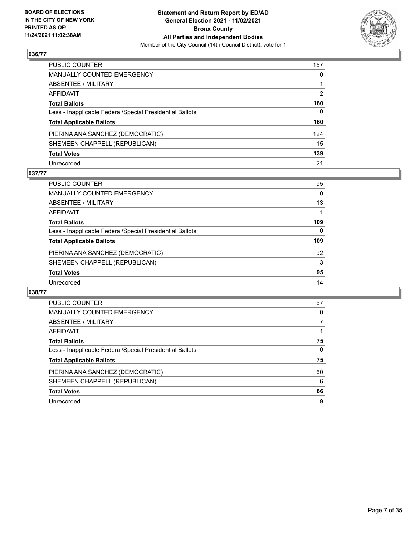

| PUBLIC COUNTER                                           | 157      |
|----------------------------------------------------------|----------|
| MANUALLY COUNTED EMERGENCY                               | 0        |
| ABSENTEE / MILITARY                                      |          |
| AFFIDAVIT                                                | 2        |
| Total Ballots                                            | 160      |
| Less - Inapplicable Federal/Special Presidential Ballots | $\Omega$ |
| <b>Total Applicable Ballots</b>                          | 160      |
| PIERINA ANA SANCHEZ (DEMOCRATIC)                         | 124      |
| SHEMEEN CHAPPELL (REPUBLICAN)                            | 15       |
| <b>Total Votes</b>                                       | 139      |
| Unrecorded                                               | 21       |

## **037/77**

| <b>PUBLIC COUNTER</b>                                    | 95  |
|----------------------------------------------------------|-----|
| MANUALLY COUNTED EMERGENCY                               | 0   |
| ABSENTEE / MILITARY                                      | 13  |
| AFFIDAVIT                                                |     |
| <b>Total Ballots</b>                                     | 109 |
| Less - Inapplicable Federal/Special Presidential Ballots | 0   |
| <b>Total Applicable Ballots</b>                          | 109 |
| PIERINA ANA SANCHEZ (DEMOCRATIC)                         | 92  |
| SHEMEEN CHAPPELL (REPUBLICAN)                            | 3   |
| <b>Total Votes</b>                                       | 95  |
| Unrecorded                                               | 14  |

| <b>PUBLIC COUNTER</b>                                    | 67 |
|----------------------------------------------------------|----|
| <b>MANUALLY COUNTED EMERGENCY</b>                        | 0  |
| ABSENTEE / MILITARY                                      |    |
| AFFIDAVIT                                                |    |
| <b>Total Ballots</b>                                     | 75 |
| Less - Inapplicable Federal/Special Presidential Ballots | 0  |
| <b>Total Applicable Ballots</b>                          | 75 |
| PIERINA ANA SANCHEZ (DEMOCRATIC)                         | 60 |
| SHEMEEN CHAPPELL (REPUBLICAN)                            | 6  |
| <b>Total Votes</b>                                       | 66 |
| Unrecorded                                               | 9  |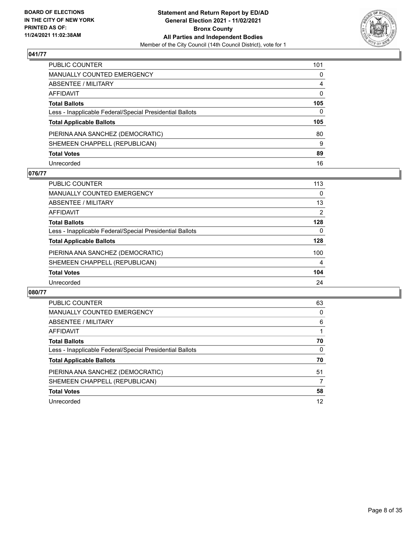

| PUBLIC COUNTER                                           | 101            |
|----------------------------------------------------------|----------------|
| MANUALLY COUNTED EMERGENCY                               | 0              |
| ABSENTEE / MILITARY                                      | $\overline{4}$ |
| AFFIDAVIT                                                | $\mathbf{0}$   |
| Total Ballots                                            | 105            |
| Less - Inapplicable Federal/Special Presidential Ballots | $\Omega$       |
| <b>Total Applicable Ballots</b>                          | 105            |
| PIERINA ANA SANCHEZ (DEMOCRATIC)                         | 80             |
| SHEMEEN CHAPPELL (REPUBLICAN)                            | 9              |
| <b>Total Votes</b>                                       | 89             |
| Unrecorded                                               |                |

## **076/77**

| <b>PUBLIC COUNTER</b>                                    | 113            |
|----------------------------------------------------------|----------------|
| <b>MANUALLY COUNTED EMERGENCY</b>                        | $\Omega$       |
| ABSENTEE / MILITARY                                      | 13             |
| AFFIDAVIT                                                | $\overline{2}$ |
| <b>Total Ballots</b>                                     | 128            |
| Less - Inapplicable Federal/Special Presidential Ballots | 0              |
| <b>Total Applicable Ballots</b>                          | 128            |
| PIERINA ANA SANCHEZ (DEMOCRATIC)                         | 100            |
| SHEMEEN CHAPPELL (REPUBLICAN)                            | 4              |
| <b>Total Votes</b>                                       | 104            |
| Unrecorded                                               | 24             |

| <b>PUBLIC COUNTER</b>                                    | 63       |
|----------------------------------------------------------|----------|
| <b>MANUALLY COUNTED EMERGENCY</b>                        | 0        |
| <b>ABSENTEE / MILITARY</b>                               | 6        |
| AFFIDAVIT                                                |          |
| <b>Total Ballots</b>                                     | 70       |
| Less - Inapplicable Federal/Special Presidential Ballots | $\Omega$ |
| <b>Total Applicable Ballots</b>                          | 70       |
| PIERINA ANA SANCHEZ (DEMOCRATIC)                         | 51       |
| SHEMEEN CHAPPELL (REPUBLICAN)                            |          |
| <b>Total Votes</b>                                       | 58       |
| Unrecorded                                               | 12       |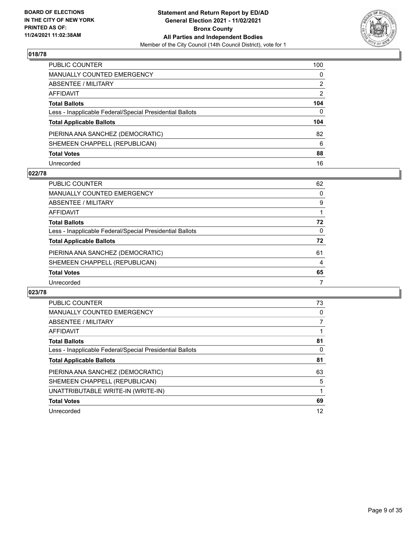

| PUBLIC COUNTER                                           | 100            |
|----------------------------------------------------------|----------------|
| MANUALLY COUNTED EMERGENCY                               | 0              |
| <b>ABSENTEE / MILITARY</b>                               | 2              |
| AFFIDAVIT                                                | $\overline{2}$ |
| <b>Total Ballots</b>                                     | 104            |
| Less - Inapplicable Federal/Special Presidential Ballots | $\Omega$       |
| <b>Total Applicable Ballots</b>                          | 104            |
| PIERINA ANA SANCHEZ (DEMOCRATIC)                         | 82             |
| SHEMEEN CHAPPELL (REPUBLICAN)                            | 6              |
| <b>Total Votes</b>                                       | 88             |
| Unrecorded                                               | 16             |

## **022/78**

| <b>PUBLIC COUNTER</b>                                    | 62       |
|----------------------------------------------------------|----------|
| MANUALLY COUNTED EMERGENCY                               | $\Omega$ |
| ABSENTEE / MILITARY                                      | 9        |
| AFFIDAVIT                                                |          |
| <b>Total Ballots</b>                                     | 72       |
| Less - Inapplicable Federal/Special Presidential Ballots | $\Omega$ |
| <b>Total Applicable Ballots</b>                          | 72       |
| PIERINA ANA SANCHEZ (DEMOCRATIC)                         | 61       |
| SHEMEEN CHAPPELL (REPUBLICAN)                            | 4        |
| <b>Total Votes</b>                                       | 65       |
| Unrecorded                                               | 7        |

| <b>PUBLIC COUNTER</b>                                    | 73 |
|----------------------------------------------------------|----|
| <b>MANUALLY COUNTED EMERGENCY</b>                        | 0  |
| ABSENTEE / MILITARY                                      |    |
| AFFIDAVIT                                                |    |
| <b>Total Ballots</b>                                     | 81 |
| Less - Inapplicable Federal/Special Presidential Ballots | 0  |
| <b>Total Applicable Ballots</b>                          | 81 |
| PIERINA ANA SANCHEZ (DEMOCRATIC)                         | 63 |
| SHEMEEN CHAPPELL (REPUBLICAN)                            | 5  |
| UNATTRIBUTABLE WRITE-IN (WRITE-IN)                       |    |
| <b>Total Votes</b>                                       | 69 |
| Unrecorded                                               | 12 |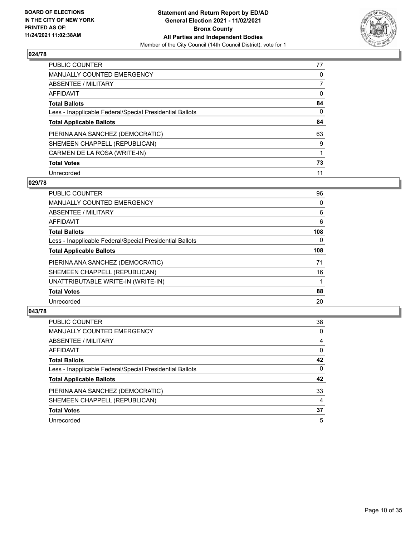

| PUBLIC COUNTER                                           | 77       |
|----------------------------------------------------------|----------|
| <b>MANUALLY COUNTED EMERGENCY</b>                        | 0        |
| ABSENTEE / MILITARY                                      |          |
| AFFIDAVIT                                                | $\Omega$ |
| <b>Total Ballots</b>                                     | 84       |
| Less - Inapplicable Federal/Special Presidential Ballots | $\Omega$ |
| <b>Total Applicable Ballots</b>                          | 84       |
| PIERINA ANA SANCHEZ (DEMOCRATIC)                         | 63       |
| SHEMEEN CHAPPELL (REPUBLICAN)                            | 9        |
| CARMEN DE LA ROSA (WRITE-IN)                             |          |
| <b>Total Votes</b>                                       | 73       |
| Unrecorded                                               | 11       |

#### **029/78**

| <b>PUBLIC COUNTER</b>                                    | 96       |
|----------------------------------------------------------|----------|
| <b>MANUALLY COUNTED EMERGENCY</b>                        | 0        |
| ABSENTEE / MILITARY                                      | 6        |
| <b>AFFIDAVIT</b>                                         | 6        |
| <b>Total Ballots</b>                                     | 108      |
| Less - Inapplicable Federal/Special Presidential Ballots | $\Omega$ |
| <b>Total Applicable Ballots</b>                          | 108      |
| PIERINA ANA SANCHEZ (DEMOCRATIC)                         | 71       |
| SHEMEEN CHAPPELL (REPUBLICAN)                            | 16       |
| UNATTRIBUTABLE WRITE-IN (WRITE-IN)                       |          |
| <b>Total Votes</b>                                       | 88       |
| Unrecorded                                               | 20       |

| <b>PUBLIC COUNTER</b>                                    | 38       |
|----------------------------------------------------------|----------|
| <b>MANUALLY COUNTED EMERGENCY</b>                        | 0        |
| ABSENTEE / MILITARY                                      | 4        |
| AFFIDAVIT                                                | 0        |
| <b>Total Ballots</b>                                     | 42       |
| Less - Inapplicable Federal/Special Presidential Ballots | $\Omega$ |
| <b>Total Applicable Ballots</b>                          | 42       |
| PIERINA ANA SANCHEZ (DEMOCRATIC)                         | 33       |
| SHEMEEN CHAPPELL (REPUBLICAN)                            | 4        |
| <b>Total Votes</b>                                       | 37       |
| Unrecorded                                               | 5        |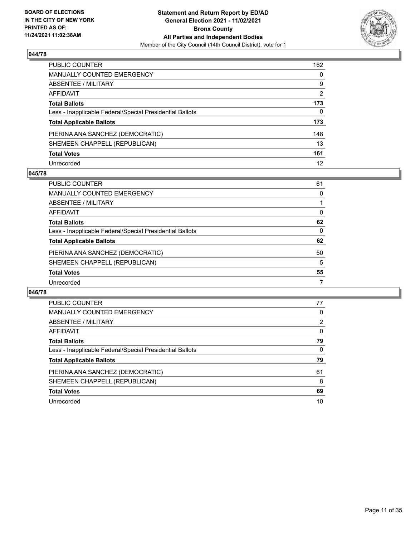

| PUBLIC COUNTER                                           | 162            |
|----------------------------------------------------------|----------------|
| MANUALLY COUNTED EMERGENCY                               | $\mathbf{0}$   |
| ABSENTEE / MILITARY                                      | 9              |
| <b>AFFIDAVIT</b>                                         | $\overline{2}$ |
| <b>Total Ballots</b>                                     | 173            |
| Less - Inapplicable Federal/Special Presidential Ballots | 0              |
| <b>Total Applicable Ballots</b>                          | 173            |
| PIERINA ANA SANCHEZ (DEMOCRATIC)                         | 148            |
| SHEMEEN CHAPPELL (REPUBLICAN)                            | 13             |
| <b>Total Votes</b>                                       | 161            |
| Unrecorded                                               | 12             |

## **045/78**

| <b>PUBLIC COUNTER</b>                                    | 61       |
|----------------------------------------------------------|----------|
| MANUALLY COUNTED EMERGENCY                               | 0        |
| ABSENTEE / MILITARY                                      |          |
| AFFIDAVIT                                                | $\Omega$ |
| <b>Total Ballots</b>                                     | 62       |
| Less - Inapplicable Federal/Special Presidential Ballots | 0        |
| <b>Total Applicable Ballots</b>                          | 62       |
| PIERINA ANA SANCHEZ (DEMOCRATIC)                         | 50       |
| SHEMEEN CHAPPELL (REPUBLICAN)                            | 5        |
| <b>Total Votes</b>                                       | 55       |
| Unrecorded                                               | 7        |

| <b>PUBLIC COUNTER</b>                                    | 77             |
|----------------------------------------------------------|----------------|
| <b>MANUALLY COUNTED EMERGENCY</b>                        | 0              |
| ABSENTEE / MILITARY                                      | $\overline{2}$ |
| AFFIDAVIT                                                | $\Omega$       |
| <b>Total Ballots</b>                                     | 79             |
| Less - Inapplicable Federal/Special Presidential Ballots | 0              |
| <b>Total Applicable Ballots</b>                          | 79             |
| PIERINA ANA SANCHEZ (DEMOCRATIC)                         | 61             |
| SHEMEEN CHAPPELL (REPUBLICAN)                            | 8              |
| <b>Total Votes</b>                                       | 69             |
| Unrecorded                                               | 10             |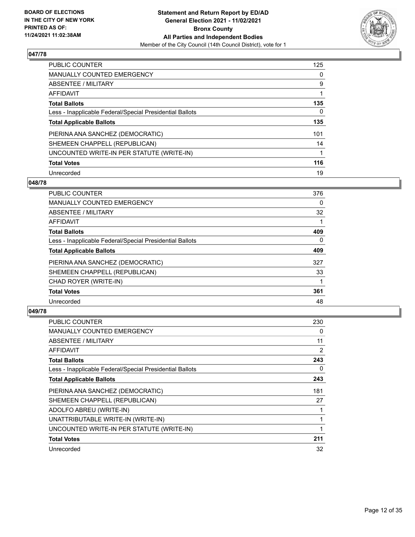

| <b>PUBLIC COUNTER</b>                                    | 125 |
|----------------------------------------------------------|-----|
| <b>MANUALLY COUNTED EMERGENCY</b>                        | 0   |
| ABSENTEE / MILITARY                                      | 9   |
| AFFIDAVIT                                                |     |
| <b>Total Ballots</b>                                     | 135 |
| Less - Inapplicable Federal/Special Presidential Ballots | 0   |
| <b>Total Applicable Ballots</b>                          | 135 |
| PIERINA ANA SANCHEZ (DEMOCRATIC)                         | 101 |
| SHEMEEN CHAPPELL (REPUBLICAN)                            | 14  |
| UNCOUNTED WRITE-IN PER STATUTE (WRITE-IN)                |     |
| <b>Total Votes</b>                                       | 116 |
| Unrecorded                                               | 19  |

## **048/78**

| <b>PUBLIC COUNTER</b>                                    | 376      |
|----------------------------------------------------------|----------|
| <b>MANUALLY COUNTED EMERGENCY</b>                        | 0        |
| <b>ABSENTEE / MILITARY</b>                               | 32       |
| <b>AFFIDAVIT</b>                                         |          |
| <b>Total Ballots</b>                                     | 409      |
| Less - Inapplicable Federal/Special Presidential Ballots | $\Omega$ |
| <b>Total Applicable Ballots</b>                          | 409      |
| PIERINA ANA SANCHEZ (DEMOCRATIC)                         | 327      |
| SHEMEEN CHAPPELL (REPUBLICAN)                            | 33       |
| CHAD ROYER (WRITE-IN)                                    |          |
| <b>Total Votes</b>                                       | 361      |
| Unrecorded                                               | 48       |

| <b>PUBLIC COUNTER</b>                                    | 230 |
|----------------------------------------------------------|-----|
| <b>MANUALLY COUNTED EMERGENCY</b>                        | 0   |
| ABSENTEE / MILITARY                                      | 11  |
| AFFIDAVIT                                                | 2   |
| <b>Total Ballots</b>                                     | 243 |
| Less - Inapplicable Federal/Special Presidential Ballots | 0   |
| <b>Total Applicable Ballots</b>                          | 243 |
| PIERINA ANA SANCHEZ (DEMOCRATIC)                         | 181 |
| SHEMEEN CHAPPELL (REPUBLICAN)                            | 27  |
| ADOLFO ABREU (WRITE-IN)                                  | 1   |
| UNATTRIBUTABLE WRITE-IN (WRITE-IN)                       |     |
| UNCOUNTED WRITE-IN PER STATUTE (WRITE-IN)                | 1   |
| <b>Total Votes</b>                                       | 211 |
| Unrecorded                                               | 32  |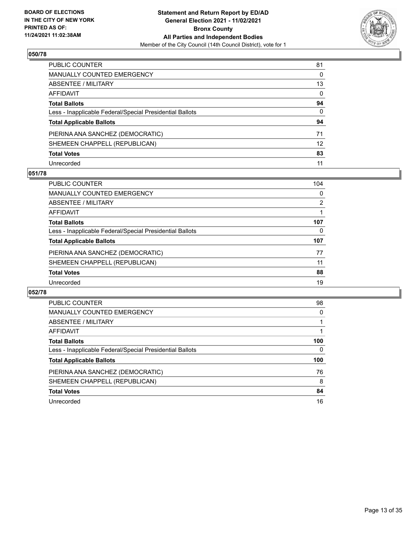

| PUBLIC COUNTER                                           | 81           |
|----------------------------------------------------------|--------------|
| MANUALLY COUNTED EMERGENCY                               | 0            |
| ABSENTEE / MILITARY                                      | 13           |
| AFFIDAVIT                                                | 0            |
| Total Ballots                                            | 94           |
| Less - Inapplicable Federal/Special Presidential Ballots | $\mathbf{0}$ |
| <b>Total Applicable Ballots</b>                          | 94           |
| PIERINA ANA SANCHEZ (DEMOCRATIC)                         | 71           |
| SHEMEEN CHAPPELL (REPUBLICAN)                            | 12           |
| <b>Total Votes</b>                                       | 83           |
| Unrecorded                                               |              |

## **051/78**

| <b>PUBLIC COUNTER</b>                                    | 104 |
|----------------------------------------------------------|-----|
| <b>MANUALLY COUNTED EMERGENCY</b>                        | 0   |
| ABSENTEE / MILITARY                                      | 2   |
| AFFIDAVIT                                                |     |
| <b>Total Ballots</b>                                     | 107 |
| Less - Inapplicable Federal/Special Presidential Ballots | 0   |
| <b>Total Applicable Ballots</b>                          | 107 |
| PIERINA ANA SANCHEZ (DEMOCRATIC)                         | 77  |
| SHEMEEN CHAPPELL (REPUBLICAN)                            | 11  |
| <b>Total Votes</b>                                       | 88  |
| Unrecorded                                               | 19  |

| <b>PUBLIC COUNTER</b>                                    | 98       |
|----------------------------------------------------------|----------|
| <b>MANUALLY COUNTED EMERGENCY</b>                        | $\Omega$ |
| <b>ABSENTEE / MILITARY</b>                               |          |
| AFFIDAVIT                                                |          |
| <b>Total Ballots</b>                                     | 100      |
| Less - Inapplicable Federal/Special Presidential Ballots | 0        |
| <b>Total Applicable Ballots</b>                          | 100      |
| PIERINA ANA SANCHEZ (DEMOCRATIC)                         | 76       |
| SHEMEEN CHAPPELL (REPUBLICAN)                            | 8        |
|                                                          |          |
| <b>Total Votes</b>                                       | 84       |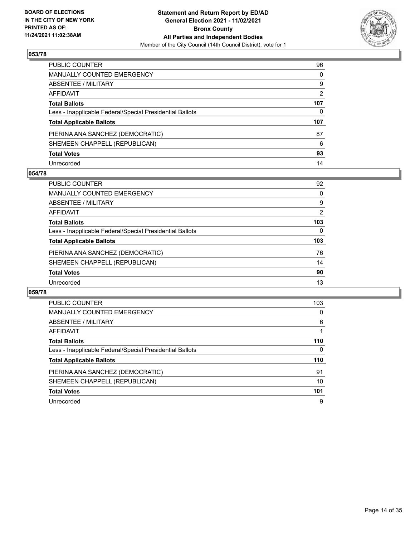

| PUBLIC COUNTER                                           | 96           |
|----------------------------------------------------------|--------------|
| MANUALLY COUNTED EMERGENCY                               | $\mathbf{0}$ |
| ABSENTEE / MILITARY                                      | 9            |
| AFFIDAVIT                                                | 2            |
| <b>Total Ballots</b>                                     | 107          |
| Less - Inapplicable Federal/Special Presidential Ballots | 0            |
| <b>Total Applicable Ballots</b>                          | 107          |
| PIERINA ANA SANCHEZ (DEMOCRATIC)                         | 87           |
| SHEMEEN CHAPPELL (REPUBLICAN)                            | 6            |
| <b>Total Votes</b>                                       | 93           |
| Unrecorded                                               | 14           |

#### **054/78**

| PUBLIC COUNTER                                           | 92  |
|----------------------------------------------------------|-----|
| MANUALLY COUNTED EMERGENCY                               | 0   |
| ABSENTEE / MILITARY                                      | 9   |
| AFFIDAVIT                                                | 2   |
| <b>Total Ballots</b>                                     | 103 |
| Less - Inapplicable Federal/Special Presidential Ballots | 0   |
| <b>Total Applicable Ballots</b>                          | 103 |
| PIERINA ANA SANCHEZ (DEMOCRATIC)                         | 76  |
| SHEMEEN CHAPPELL (REPUBLICAN)                            | 14  |
| <b>Total Votes</b>                                       | 90  |
| Unrecorded                                               | 13  |

| PUBLIC COUNTER                                           | 103 |
|----------------------------------------------------------|-----|
| <b>MANUALLY COUNTED EMERGENCY</b>                        | 0   |
| ABSENTEE / MILITARY                                      | 6   |
| <b>AFFIDAVIT</b>                                         |     |
| <b>Total Ballots</b>                                     | 110 |
| Less - Inapplicable Federal/Special Presidential Ballots | 0   |
| <b>Total Applicable Ballots</b>                          | 110 |
| PIERINA ANA SANCHEZ (DEMOCRATIC)                         | 91  |
| SHEMEEN CHAPPELL (REPUBLICAN)                            | 10  |
|                                                          |     |
| <b>Total Votes</b>                                       | 101 |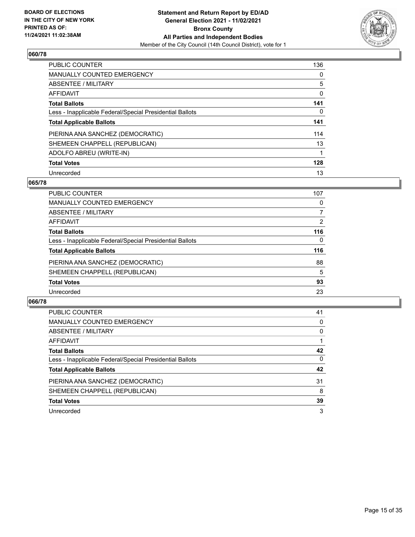

| <b>PUBLIC COUNTER</b>                                    | 136      |
|----------------------------------------------------------|----------|
| <b>MANUALLY COUNTED EMERGENCY</b>                        | $\Omega$ |
| ABSENTEE / MILITARY                                      | 5        |
| AFFIDAVIT                                                | 0        |
| <b>Total Ballots</b>                                     | 141      |
| Less - Inapplicable Federal/Special Presidential Ballots | 0        |
| <b>Total Applicable Ballots</b>                          | 141      |
| PIERINA ANA SANCHEZ (DEMOCRATIC)                         | 114      |
| SHEMEEN CHAPPELL (REPUBLICAN)                            | 13       |
| ADOLFO ABREU (WRITE-IN)                                  |          |
| <b>Total Votes</b>                                       | 128      |
| Unrecorded                                               | 13       |

## **065/78**

| <b>PUBLIC COUNTER</b>                                    | 107 |
|----------------------------------------------------------|-----|
| MANUALLY COUNTED EMERGENCY                               | 0   |
| ABSENTEE / MILITARY                                      | 7   |
| AFFIDAVIT                                                | 2   |
| <b>Total Ballots</b>                                     | 116 |
| Less - Inapplicable Federal/Special Presidential Ballots | 0   |
| <b>Total Applicable Ballots</b>                          | 116 |
| PIERINA ANA SANCHEZ (DEMOCRATIC)                         | 88  |
| SHEMEEN CHAPPELL (REPUBLICAN)                            | 5   |
| <b>Total Votes</b>                                       | 93  |
| Unrecorded                                               | 23  |

| <b>PUBLIC COUNTER</b>                                    | 41       |
|----------------------------------------------------------|----------|
| <b>MANUALLY COUNTED EMERGENCY</b>                        | 0        |
| ABSENTEE / MILITARY                                      | $\Omega$ |
| AFFIDAVIT                                                |          |
| <b>Total Ballots</b>                                     | 42       |
| Less - Inapplicable Federal/Special Presidential Ballots | $\Omega$ |
| <b>Total Applicable Ballots</b>                          | 42       |
| PIERINA ANA SANCHEZ (DEMOCRATIC)                         | 31       |
| SHEMEEN CHAPPELL (REPUBLICAN)                            | 8        |
| <b>Total Votes</b>                                       | 39       |
| Unrecorded                                               | 3        |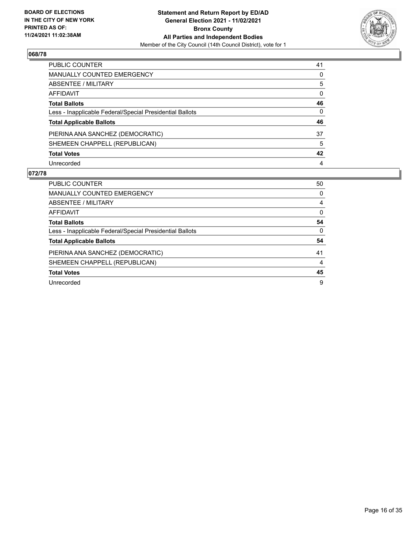

| PUBLIC COUNTER                                           | 41           |
|----------------------------------------------------------|--------------|
| <b>MANUALLY COUNTED EMERGENCY</b>                        | 0            |
| ABSENTEE / MILITARY                                      | 5            |
| <b>AFFIDAVIT</b>                                         | $\mathbf{0}$ |
| <b>Total Ballots</b>                                     | 46           |
| Less - Inapplicable Federal/Special Presidential Ballots | $\mathbf{0}$ |
| <b>Total Applicable Ballots</b>                          | 46           |
| PIERINA ANA SANCHEZ (DEMOCRATIC)                         | 37           |
| SHEMEEN CHAPPELL (REPUBLICAN)                            | 5            |
| <b>Total Votes</b>                                       | 42           |
| Unrecorded                                               | 4            |

| PUBLIC COUNTER                                           | 50       |
|----------------------------------------------------------|----------|
| <b>MANUALLY COUNTED EMERGENCY</b>                        | $\Omega$ |
| <b>ABSENTEE / MILITARY</b>                               | 4        |
| AFFIDAVIT                                                | $\Omega$ |
| <b>Total Ballots</b>                                     | 54       |
| Less - Inapplicable Federal/Special Presidential Ballots | $\Omega$ |
| <b>Total Applicable Ballots</b>                          | 54       |
| PIERINA ANA SANCHEZ (DEMOCRATIC)                         | 41       |
| SHEMEEN CHAPPELL (REPUBLICAN)                            | 4        |
| <b>Total Votes</b>                                       | 45       |
| Unrecorded                                               | 9        |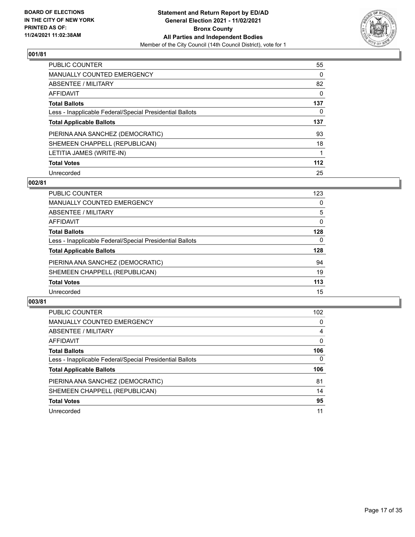

| PUBLIC COUNTER                                           | 55       |
|----------------------------------------------------------|----------|
| <b>MANUALLY COUNTED EMERGENCY</b>                        | $\Omega$ |
| ABSENTEE / MILITARY                                      | 82       |
| AFFIDAVIT                                                | $\Omega$ |
| <b>Total Ballots</b>                                     | 137      |
| Less - Inapplicable Federal/Special Presidential Ballots | 0        |
| <b>Total Applicable Ballots</b>                          | 137      |
| PIERINA ANA SANCHEZ (DEMOCRATIC)                         | 93       |
| SHEMEEN CHAPPELL (REPUBLICAN)                            | 18       |
| LETITIA JAMES (WRITE-IN)                                 |          |
| <b>Total Votes</b>                                       | $112$    |
| Unrecorded                                               | 25       |

## **002/81**

| <b>PUBLIC COUNTER</b>                                    | 123 |
|----------------------------------------------------------|-----|
| MANUALLY COUNTED EMERGENCY                               | 0   |
| ABSENTEE / MILITARY                                      | 5   |
| AFFIDAVIT                                                | 0   |
| <b>Total Ballots</b>                                     | 128 |
| Less - Inapplicable Federal/Special Presidential Ballots | 0   |
| <b>Total Applicable Ballots</b>                          | 128 |
| PIERINA ANA SANCHEZ (DEMOCRATIC)                         | 94  |
| SHEMEEN CHAPPELL (REPUBLICAN)                            | 19  |
| <b>Total Votes</b>                                       | 113 |
| Unrecorded                                               | 15  |

| <b>PUBLIC COUNTER</b>                                    | 102 <sub>2</sub> |
|----------------------------------------------------------|------------------|
| <b>MANUALLY COUNTED EMERGENCY</b>                        | $\Omega$         |
| ABSENTEE / MILITARY                                      | 4                |
| AFFIDAVIT                                                | $\Omega$         |
| <b>Total Ballots</b>                                     | 106              |
| Less - Inapplicable Federal/Special Presidential Ballots | $\mathbf{0}$     |
| <b>Total Applicable Ballots</b>                          | 106              |
| PIERINA ANA SANCHEZ (DEMOCRATIC)                         | 81               |
| SHEMEEN CHAPPELL (REPUBLICAN)                            | 14               |
| <b>Total Votes</b>                                       | 95               |
| Unrecorded                                               | 11               |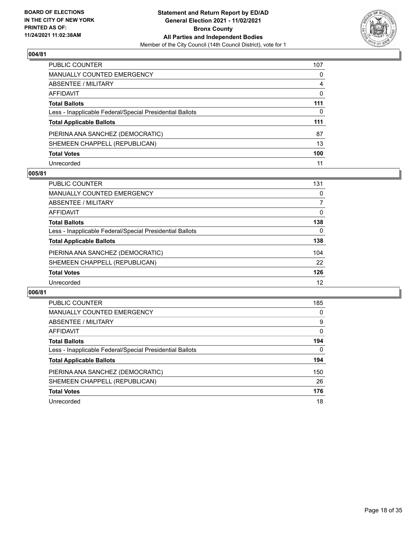

| PUBLIC COUNTER                                           | 107          |
|----------------------------------------------------------|--------------|
| MANUALLY COUNTED EMERGENCY                               | $\Omega$     |
| ABSENTEE / MILITARY                                      | 4            |
| <b>AFFIDAVIT</b>                                         | $\mathbf{0}$ |
| <b>Total Ballots</b>                                     | 111          |
| Less - Inapplicable Federal/Special Presidential Ballots | 0            |
| <b>Total Applicable Ballots</b>                          | 111          |
| PIERINA ANA SANCHEZ (DEMOCRATIC)                         | 87           |
| SHEMEEN CHAPPELL (REPUBLICAN)                            | 13           |
| <b>Total Votes</b>                                       | 100          |
| Unrecorded                                               | 11           |

## **005/81**

| <b>PUBLIC COUNTER</b>                                    | 131      |
|----------------------------------------------------------|----------|
| <b>MANUALLY COUNTED EMERGENCY</b>                        | 0        |
| ABSENTEE / MILITARY                                      |          |
| AFFIDAVIT                                                | $\Omega$ |
| <b>Total Ballots</b>                                     | 138      |
| Less - Inapplicable Federal/Special Presidential Ballots | $\Omega$ |
| <b>Total Applicable Ballots</b>                          | 138      |
| PIERINA ANA SANCHEZ (DEMOCRATIC)                         | 104      |
| SHEMEEN CHAPPELL (REPUBLICAN)                            | 22       |
| <b>Total Votes</b>                                       | 126      |
| Unrecorded                                               | 12       |

| PUBLIC COUNTER                                           | 185      |
|----------------------------------------------------------|----------|
| <b>MANUALLY COUNTED EMERGENCY</b>                        | 0        |
| ABSENTEE / MILITARY                                      | 9        |
| <b>AFFIDAVIT</b>                                         | $\Omega$ |
| <b>Total Ballots</b>                                     | 194      |
| Less - Inapplicable Federal/Special Presidential Ballots | 0        |
| <b>Total Applicable Ballots</b>                          | 194      |
| PIERINA ANA SANCHEZ (DEMOCRATIC)                         | 150      |
| SHEMEEN CHAPPELL (REPUBLICAN)                            | 26       |
| <b>Total Votes</b>                                       | 176      |
| Unrecorded                                               | 18       |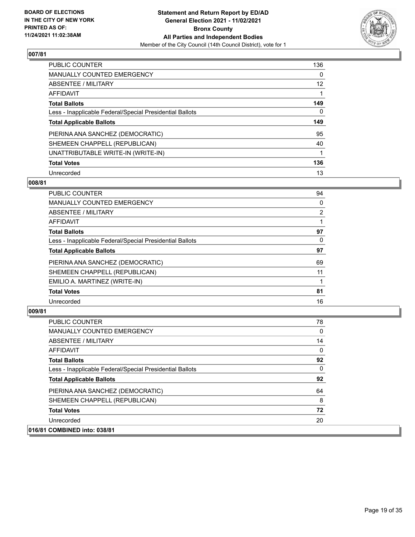

| PUBLIC COUNTER                                           | 136      |
|----------------------------------------------------------|----------|
| <b>MANUALLY COUNTED EMERGENCY</b>                        | $\Omega$ |
| ABSENTEE / MILITARY                                      | 12       |
| AFFIDAVIT                                                |          |
| <b>Total Ballots</b>                                     | 149      |
| Less - Inapplicable Federal/Special Presidential Ballots | 0        |
| <b>Total Applicable Ballots</b>                          | 149      |
| PIERINA ANA SANCHEZ (DEMOCRATIC)                         | 95       |
| SHEMEEN CHAPPELL (REPUBLICAN)                            | 40       |
| UNATTRIBUTABLE WRITE-IN (WRITE-IN)                       |          |
| <b>Total Votes</b>                                       | 136      |
|                                                          |          |

#### **008/81**

| <b>PUBLIC COUNTER</b>                                    | 94             |
|----------------------------------------------------------|----------------|
| <b>MANUALLY COUNTED EMERGENCY</b>                        | 0              |
| ABSENTEE / MILITARY                                      | $\overline{2}$ |
| AFFIDAVIT                                                |                |
| <b>Total Ballots</b>                                     | 97             |
| Less - Inapplicable Federal/Special Presidential Ballots | $\Omega$       |
| <b>Total Applicable Ballots</b>                          | 97             |
| PIERINA ANA SANCHEZ (DEMOCRATIC)                         | 69             |
| SHEMEEN CHAPPELL (REPUBLICAN)                            | 11             |
| EMILIO A. MARTINEZ (WRITE-IN)                            |                |
| <b>Total Votes</b>                                       | 81             |
| Unrecorded                                               | 16             |
|                                                          |                |

| <b>PUBLIC COUNTER</b>                                    | 78           |
|----------------------------------------------------------|--------------|
| <b>MANUALLY COUNTED EMERGENCY</b>                        | 0            |
| <b>ABSENTEE / MILITARY</b>                               | 14           |
| AFFIDAVIT                                                | $\mathbf{0}$ |
| <b>Total Ballots</b>                                     | 92           |
| Less - Inapplicable Federal/Special Presidential Ballots | 0            |
| <b>Total Applicable Ballots</b>                          | 92           |
| PIERINA ANA SANCHEZ (DEMOCRATIC)                         | 64           |
| SHEMEEN CHAPPELL (REPUBLICAN)                            | 8            |
| <b>Total Votes</b>                                       | 72           |
| Unrecorded                                               | 20           |
| 016/81 COMBINED into: 038/81                             |              |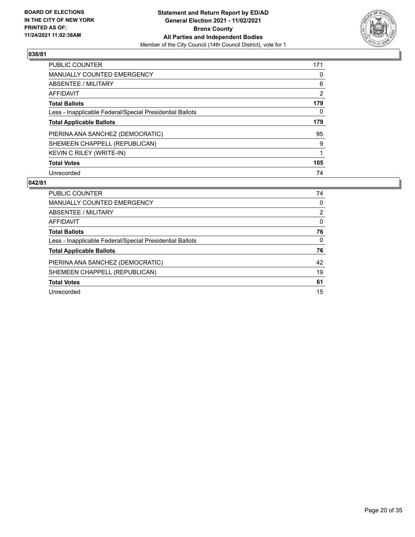

| <b>PUBLIC COUNTER</b>                                    | 171            |
|----------------------------------------------------------|----------------|
| <b>MANUALLY COUNTED EMERGENCY</b>                        | 0              |
| ABSENTEE / MILITARY                                      | 6              |
| AFFIDAVIT                                                | $\overline{2}$ |
| <b>Total Ballots</b>                                     | 179            |
| Less - Inapplicable Federal/Special Presidential Ballots | 0              |
|                                                          |                |
| <b>Total Applicable Ballots</b>                          | 179            |
| PIERINA ANA SANCHEZ (DEMOCRATIC)                         | 95             |
| SHEMEEN CHAPPELL (REPUBLICAN)                            | 9              |
| KEVIN C RILEY (WRITE-IN)                                 |                |
| <b>Total Votes</b>                                       | 105            |

| PUBLIC COUNTER                                           | 74            |
|----------------------------------------------------------|---------------|
| <b>MANUALLY COUNTED EMERGENCY</b>                        | 0             |
| ABSENTEE / MILITARY                                      | $\mathcal{P}$ |
| AFFIDAVIT                                                | 0             |
| <b>Total Ballots</b>                                     | 76            |
| Less - Inapplicable Federal/Special Presidential Ballots | $\Omega$      |
| <b>Total Applicable Ballots</b>                          | 76            |
| PIERINA ANA SANCHEZ (DEMOCRATIC)                         | 42            |
| SHEMEEN CHAPPELL (REPUBLICAN)                            | 19            |
| <b>Total Votes</b>                                       | 61            |
|                                                          |               |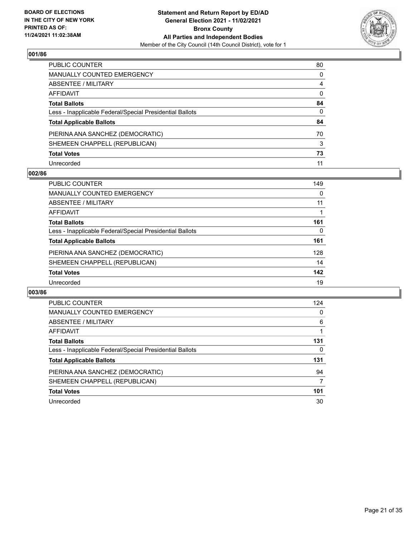

| PUBLIC COUNTER                                           | 80           |
|----------------------------------------------------------|--------------|
| MANUALLY COUNTED EMERGENCY                               | 0            |
| ABSENTEE / MILITARY                                      | 4            |
| AFFIDAVIT                                                | 0            |
| Total Ballots                                            | 84           |
| Less - Inapplicable Federal/Special Presidential Ballots | $\mathbf{0}$ |
| <b>Total Applicable Ballots</b>                          | 84           |
| PIERINA ANA SANCHEZ (DEMOCRATIC)                         | 70           |
| SHEMEEN CHAPPELL (REPUBLICAN)                            | 3            |
| <b>Total Votes</b>                                       | 73           |
| Unrecorded                                               | 11           |

## **002/86**

| PUBLIC COUNTER                                           | 149 |
|----------------------------------------------------------|-----|
| <b>MANUALLY COUNTED EMERGENCY</b>                        | 0   |
| ABSENTEE / MILITARY                                      | 11  |
| AFFIDAVIT                                                |     |
| <b>Total Ballots</b>                                     | 161 |
| Less - Inapplicable Federal/Special Presidential Ballots | 0   |
| <b>Total Applicable Ballots</b>                          | 161 |
| PIERINA ANA SANCHEZ (DEMOCRATIC)                         | 128 |
| SHEMEEN CHAPPELL (REPUBLICAN)                            | 14  |
| <b>Total Votes</b>                                       | 142 |
| Unrecorded                                               | 19  |

| <b>PUBLIC COUNTER</b>                                    | 124 |
|----------------------------------------------------------|-----|
| <b>MANUALLY COUNTED EMERGENCY</b>                        | 0   |
| ABSENTEE / MILITARY                                      | 6   |
| <b>AFFIDAVIT</b>                                         |     |
| <b>Total Ballots</b>                                     | 131 |
| Less - Inapplicable Federal/Special Presidential Ballots | 0   |
| <b>Total Applicable Ballots</b>                          | 131 |
| PIERINA ANA SANCHEZ (DEMOCRATIC)                         | 94  |
| SHEMEEN CHAPPELL (REPUBLICAN)                            | 7   |
| <b>Total Votes</b>                                       | 101 |
| Unrecorded                                               | 30  |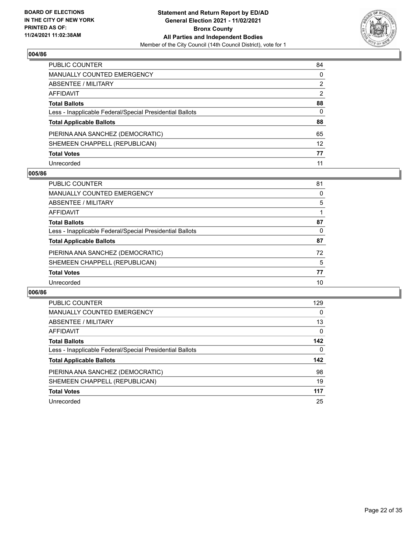

| PUBLIC COUNTER                                           | 84              |
|----------------------------------------------------------|-----------------|
| MANUALLY COUNTED EMERGENCY                               | 0               |
| <b>ABSENTEE / MILITARY</b>                               | 2               |
| AFFIDAVIT                                                | $\overline{2}$  |
| <b>Total Ballots</b>                                     | 88              |
| Less - Inapplicable Federal/Special Presidential Ballots | $\mathbf{0}$    |
| <b>Total Applicable Ballots</b>                          | 88              |
| PIERINA ANA SANCHEZ (DEMOCRATIC)                         | 65              |
| SHEMEEN CHAPPELL (REPUBLICAN)                            | 12 <sup>2</sup> |
| <b>Total Votes</b>                                       | 77              |
| Unrecorded                                               | 11              |

#### **005/86**

| <b>PUBLIC COUNTER</b>                                    | 81 |
|----------------------------------------------------------|----|
| <b>MANUALLY COUNTED EMERGENCY</b>                        | 0  |
| ABSENTEE / MILITARY                                      | 5  |
| AFFIDAVIT                                                |    |
| <b>Total Ballots</b>                                     | 87 |
| Less - Inapplicable Federal/Special Presidential Ballots | 0  |
| <b>Total Applicable Ballots</b>                          | 87 |
| PIERINA ANA SANCHEZ (DEMOCRATIC)                         | 72 |
| SHEMEEN CHAPPELL (REPUBLICAN)                            | 5  |
| <b>Total Votes</b>                                       | 77 |
| Unrecorded                                               | 10 |

| PUBLIC COUNTER                                           | 129      |
|----------------------------------------------------------|----------|
| <b>MANUALLY COUNTED EMERGENCY</b>                        | 0        |
| ABSENTEE / MILITARY                                      | 13       |
| <b>AFFIDAVIT</b>                                         | $\Omega$ |
| <b>Total Ballots</b>                                     | 142      |
| Less - Inapplicable Federal/Special Presidential Ballots | 0        |
| <b>Total Applicable Ballots</b>                          | 142      |
| PIERINA ANA SANCHEZ (DEMOCRATIC)                         | 98       |
| SHEMEEN CHAPPELL (REPUBLICAN)                            | 19       |
| <b>Total Votes</b>                                       | 117      |
| Unrecorded                                               | 25       |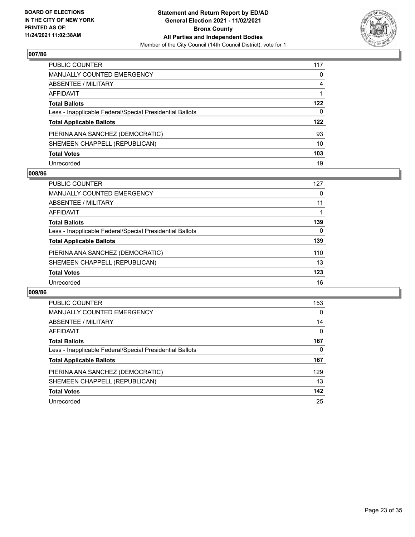

| PUBLIC COUNTER                                           | 117 |
|----------------------------------------------------------|-----|
| <b>MANUALLY COUNTED EMERGENCY</b>                        | 0   |
| <b>ABSENTEE / MILITARY</b>                               | 4   |
| AFFIDAVIT                                                |     |
| <b>Total Ballots</b>                                     | 122 |
| Less - Inapplicable Federal/Special Presidential Ballots | 0   |
| <b>Total Applicable Ballots</b>                          | 122 |
| PIERINA ANA SANCHEZ (DEMOCRATIC)                         | 93  |
| SHEMEEN CHAPPELL (REPUBLICAN)                            | 10  |
| <b>Total Votes</b>                                       | 103 |
| Unrecorded                                               | 19  |

## **008/86**

| PUBLIC COUNTER                                           | 127 |
|----------------------------------------------------------|-----|
| <b>MANUALLY COUNTED EMERGENCY</b>                        | 0   |
| ABSENTEE / MILITARY                                      | 11  |
| AFFIDAVIT                                                |     |
| <b>Total Ballots</b>                                     | 139 |
| Less - Inapplicable Federal/Special Presidential Ballots | 0   |
| <b>Total Applicable Ballots</b>                          | 139 |
| PIERINA ANA SANCHEZ (DEMOCRATIC)                         | 110 |
| SHEMEEN CHAPPELL (REPUBLICAN)                            | 13  |
| <b>Total Votes</b>                                       | 123 |
| Unrecorded                                               | 16  |

| <b>PUBLIC COUNTER</b>                                    | 153      |
|----------------------------------------------------------|----------|
| <b>MANUALLY COUNTED EMERGENCY</b>                        | 0        |
| ABSENTEE / MILITARY                                      | 14       |
| <b>AFFIDAVIT</b>                                         | $\Omega$ |
| <b>Total Ballots</b>                                     | 167      |
| Less - Inapplicable Federal/Special Presidential Ballots | 0        |
| <b>Total Applicable Ballots</b>                          | 167      |
| PIERINA ANA SANCHEZ (DEMOCRATIC)                         | 129      |
| SHEMEEN CHAPPELL (REPUBLICAN)                            | 13       |
| <b>Total Votes</b>                                       | 142      |
| Unrecorded                                               | 25       |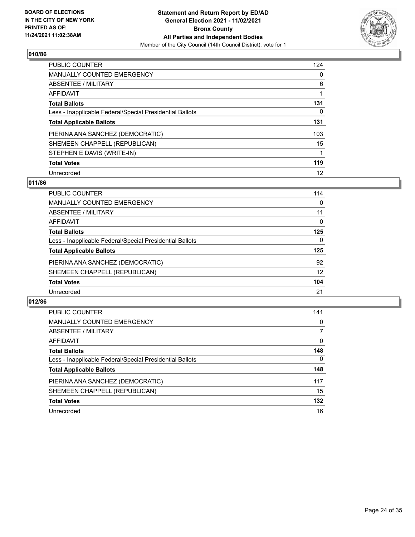

| <b>PUBLIC COUNTER</b>                                    | 124      |
|----------------------------------------------------------|----------|
| <b>MANUALLY COUNTED EMERGENCY</b>                        | 0        |
| ABSENTEE / MILITARY                                      | 6        |
| AFFIDAVIT                                                |          |
| <b>Total Ballots</b>                                     | 131      |
| Less - Inapplicable Federal/Special Presidential Ballots | $\Omega$ |
| <b>Total Applicable Ballots</b>                          | 131      |
| PIERINA ANA SANCHEZ (DEMOCRATIC)                         | 103      |
| SHEMEEN CHAPPELL (REPUBLICAN)                            | 15       |
| STEPHEN E DAVIS (WRITE-IN)                               |          |
| <b>Total Votes</b>                                       | 119      |
| Unrecorded                                               | 12       |

## **011/86**

| <b>PUBLIC COUNTER</b>                                    | 114      |
|----------------------------------------------------------|----------|
| <b>MANUALLY COUNTED EMERGENCY</b>                        | 0        |
| ABSENTEE / MILITARY                                      | 11       |
| AFFIDAVIT                                                | $\Omega$ |
| <b>Total Ballots</b>                                     | 125      |
| Less - Inapplicable Federal/Special Presidential Ballots | 0        |
| <b>Total Applicable Ballots</b>                          | 125      |
| PIERINA ANA SANCHEZ (DEMOCRATIC)                         | 92       |
| SHEMEEN CHAPPELL (REPUBLICAN)                            | 12       |
| <b>Total Votes</b>                                       | 104      |
| Unrecorded                                               | 21       |

| <b>PUBLIC COUNTER</b>                                    | 141          |
|----------------------------------------------------------|--------------|
| MANUALLY COUNTED EMERGENCY                               | 0            |
| ABSENTEE / MILITARY                                      | 7            |
| AFFIDAVIT                                                | $\Omega$     |
| <b>Total Ballots</b>                                     | 148          |
| Less - Inapplicable Federal/Special Presidential Ballots | $\mathbf{0}$ |
| <b>Total Applicable Ballots</b>                          | 148          |
| PIERINA ANA SANCHEZ (DEMOCRATIC)                         | 117          |
| SHEMEEN CHAPPELL (REPUBLICAN)                            | 15           |
| <b>Total Votes</b>                                       | 132          |
| Unrecorded                                               | 16           |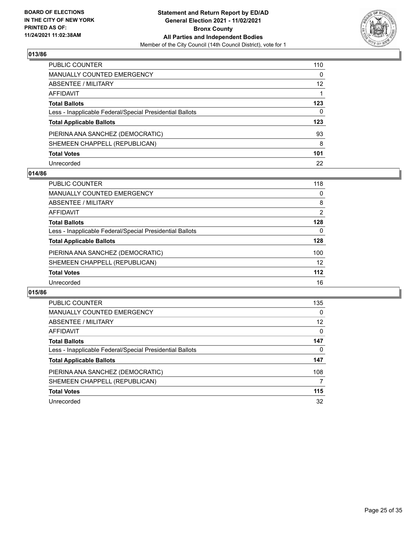

| PUBLIC COUNTER                                           | 110 |
|----------------------------------------------------------|-----|
| <b>MANUALLY COUNTED EMERGENCY</b>                        | 0   |
| ABSENTEE / MILITARY                                      | 12  |
| <b>AFFIDAVIT</b>                                         |     |
| <b>Total Ballots</b>                                     | 123 |
| Less - Inapplicable Federal/Special Presidential Ballots | 0   |
| <b>Total Applicable Ballots</b>                          | 123 |
| PIERINA ANA SANCHEZ (DEMOCRATIC)                         | 93  |
| SHEMEEN CHAPPELL (REPUBLICAN)                            | 8   |
| <b>Total Votes</b>                                       | 101 |
| Unrecorded                                               | 22  |

## **014/86**

| <b>PUBLIC COUNTER</b>                                    | 118   |
|----------------------------------------------------------|-------|
| <b>MANUALLY COUNTED EMERGENCY</b>                        | 0     |
| ABSENTEE / MILITARY                                      | 8     |
| AFFIDAVIT                                                | 2     |
| <b>Total Ballots</b>                                     | 128   |
| Less - Inapplicable Federal/Special Presidential Ballots | 0     |
| <b>Total Applicable Ballots</b>                          | 128   |
| PIERINA ANA SANCHEZ (DEMOCRATIC)                         | 100   |
| SHEMEEN CHAPPELL (REPUBLICAN)                            | 12    |
| <b>Total Votes</b>                                       | $112$ |
| Unrecorded                                               | 16    |

| PUBLIC COUNTER                                           | 135      |
|----------------------------------------------------------|----------|
| <b>MANUALLY COUNTED EMERGENCY</b>                        | $\Omega$ |
| ABSENTEE / MILITARY                                      | 12       |
| <b>AFFIDAVIT</b>                                         | $\Omega$ |
| <b>Total Ballots</b>                                     | 147      |
| Less - Inapplicable Federal/Special Presidential Ballots | 0        |
| <b>Total Applicable Ballots</b>                          | 147      |
| PIERINA ANA SANCHEZ (DEMOCRATIC)                         | 108      |
| SHEMEEN CHAPPELL (REPUBLICAN)                            | 7        |
| <b>Total Votes</b>                                       | 115      |
| Unrecorded                                               | 32       |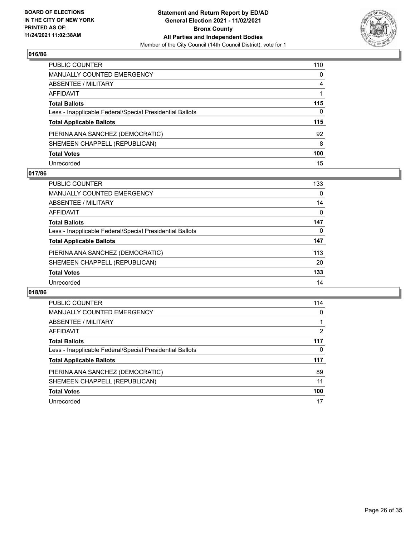

| PUBLIC COUNTER                                           | 110 |
|----------------------------------------------------------|-----|
| <b>MANUALLY COUNTED EMERGENCY</b>                        | 0   |
| ABSENTEE / MILITARY                                      | 4   |
| AFFIDAVIT                                                |     |
| <b>Total Ballots</b>                                     | 115 |
| Less - Inapplicable Federal/Special Presidential Ballots | 0   |
| <b>Total Applicable Ballots</b>                          | 115 |
| PIERINA ANA SANCHEZ (DEMOCRATIC)                         | 92  |
| SHEMEEN CHAPPELL (REPUBLICAN)                            | 8   |
| <b>Total Votes</b>                                       | 100 |
| Unrecorded                                               | 15  |

## **017/86**

| <b>PUBLIC COUNTER</b>                                    | 133      |
|----------------------------------------------------------|----------|
| <b>MANUALLY COUNTED EMERGENCY</b>                        | 0        |
| ABSENTEE / MILITARY                                      | 14       |
| AFFIDAVIT                                                | $\Omega$ |
| <b>Total Ballots</b>                                     | 147      |
| Less - Inapplicable Federal/Special Presidential Ballots | 0        |
| <b>Total Applicable Ballots</b>                          | 147      |
| PIERINA ANA SANCHEZ (DEMOCRATIC)                         | 113      |
| SHEMEEN CHAPPELL (REPUBLICAN)                            | 20       |
| <b>Total Votes</b>                                       | 133      |
| Unrecorded                                               | 14       |

| PUBLIC COUNTER                                           | 114 |
|----------------------------------------------------------|-----|
| <b>MANUALLY COUNTED EMERGENCY</b>                        | 0   |
| ABSENTEE / MILITARY                                      |     |
| <b>AFFIDAVIT</b>                                         | 2   |
| <b>Total Ballots</b>                                     | 117 |
| Less - Inapplicable Federal/Special Presidential Ballots | 0   |
| <b>Total Applicable Ballots</b>                          | 117 |
| PIERINA ANA SANCHEZ (DEMOCRATIC)                         | 89  |
| SHEMEEN CHAPPELL (REPUBLICAN)                            | 11  |
| <b>Total Votes</b>                                       | 100 |
| Unrecorded                                               | 17  |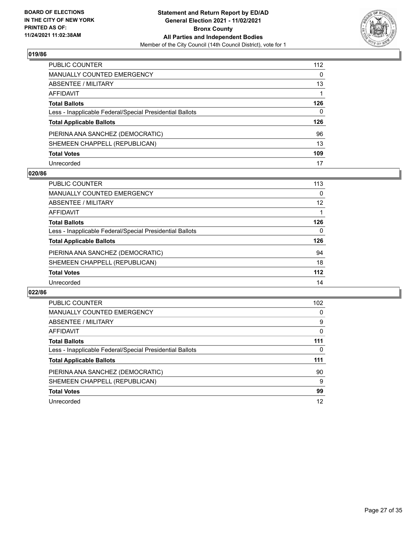

| PUBLIC COUNTER                                           | 112 |
|----------------------------------------------------------|-----|
| <b>MANUALLY COUNTED EMERGENCY</b>                        | 0   |
| ABSENTEE / MILITARY                                      | 13  |
| AFFIDAVIT                                                |     |
| <b>Total Ballots</b>                                     | 126 |
| Less - Inapplicable Federal/Special Presidential Ballots | 0   |
| <b>Total Applicable Ballots</b>                          | 126 |
| PIERINA ANA SANCHEZ (DEMOCRATIC)                         | 96  |
| SHEMEEN CHAPPELL (REPUBLICAN)                            | 13  |
| <b>Total Votes</b>                                       | 109 |
| Unrecorded                                               | 17  |

#### **020/86**

| PUBLIC COUNTER                                           | 113   |
|----------------------------------------------------------|-------|
| <b>MANUALLY COUNTED EMERGENCY</b>                        | 0     |
| ABSENTEE / MILITARY                                      | 12    |
| AFFIDAVIT                                                |       |
| <b>Total Ballots</b>                                     | 126   |
| Less - Inapplicable Federal/Special Presidential Ballots | 0     |
| <b>Total Applicable Ballots</b>                          | 126   |
| PIERINA ANA SANCHEZ (DEMOCRATIC)                         | 94    |
| SHEMEEN CHAPPELL (REPUBLICAN)                            | 18    |
| <b>Total Votes</b>                                       | $112$ |
| Unrecorded                                               | 14    |

| PUBLIC COUNTER                                           | 102      |
|----------------------------------------------------------|----------|
| <b>MANUALLY COUNTED EMERGENCY</b>                        | 0        |
| ABSENTEE / MILITARY                                      | 9        |
| <b>AFFIDAVIT</b>                                         | $\Omega$ |
| <b>Total Ballots</b>                                     | 111      |
| Less - Inapplicable Federal/Special Presidential Ballots | 0        |
| <b>Total Applicable Ballots</b>                          | 111      |
| PIERINA ANA SANCHEZ (DEMOCRATIC)                         | 90       |
| SHEMEEN CHAPPELL (REPUBLICAN)                            | 9        |
| <b>Total Votes</b>                                       | 99       |
| Unrecorded                                               | 12       |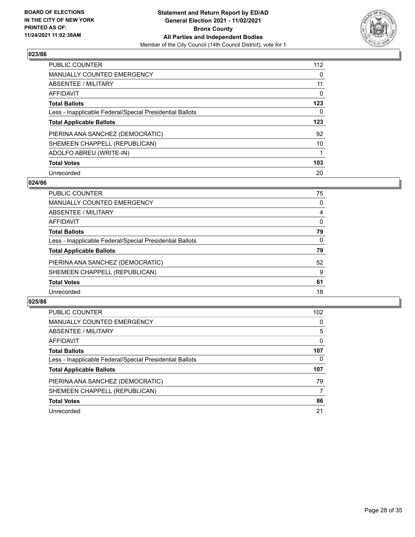

| <b>PUBLIC COUNTER</b>                                    | 112      |
|----------------------------------------------------------|----------|
| <b>MANUALLY COUNTED EMERGENCY</b>                        | $\Omega$ |
| ABSENTEE / MILITARY                                      | 11       |
| AFFIDAVIT                                                | 0        |
| <b>Total Ballots</b>                                     | 123      |
| Less - Inapplicable Federal/Special Presidential Ballots | 0        |
| <b>Total Applicable Ballots</b>                          | 123      |
| PIERINA ANA SANCHEZ (DEMOCRATIC)                         | 92       |
| SHEMEEN CHAPPELL (REPUBLICAN)                            | 10       |
| ADOLFO ABREU (WRITE-IN)                                  |          |
| <b>Total Votes</b>                                       | 103      |
| Unrecorded                                               | 20       |

#### **024/86**

| PUBLIC COUNTER                                           | 75       |
|----------------------------------------------------------|----------|
| <b>MANUALLY COUNTED EMERGENCY</b>                        | 0        |
| ABSENTEE / MILITARY                                      | 4        |
| <b>AFFIDAVIT</b>                                         | $\Omega$ |
| <b>Total Ballots</b>                                     | 79       |
| Less - Inapplicable Federal/Special Presidential Ballots | $\Omega$ |
| <b>Total Applicable Ballots</b>                          | 79       |
| PIERINA ANA SANCHEZ (DEMOCRATIC)                         | 52       |
| SHEMEEN CHAPPELL (REPUBLICAN)                            | 9        |
| <b>Total Votes</b>                                       | 61       |
| Unrecorded                                               | 18       |

| <b>PUBLIC COUNTER</b>                                    | 102 <sub>1</sub> |
|----------------------------------------------------------|------------------|
| <b>MANUALLY COUNTED EMERGENCY</b>                        | $\Omega$         |
| ABSENTEE / MILITARY                                      | 5                |
| AFFIDAVIT                                                | 0                |
| <b>Total Ballots</b>                                     | 107              |
| Less - Inapplicable Federal/Special Presidential Ballots | 0                |
| <b>Total Applicable Ballots</b>                          | 107              |
| PIERINA ANA SANCHEZ (DEMOCRATIC)                         | 79               |
| SHEMEEN CHAPPELL (REPUBLICAN)                            | 7                |
| <b>Total Votes</b>                                       | 86               |
| Unrecorded                                               | 21               |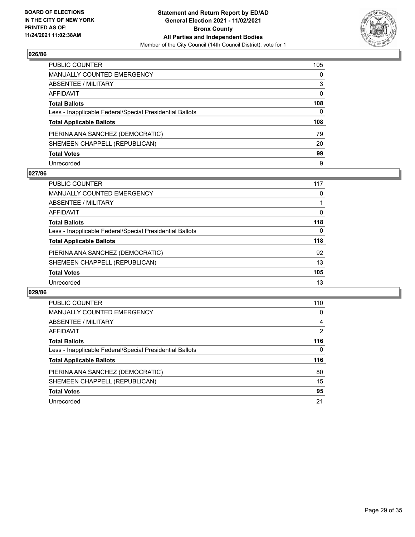

| PUBLIC COUNTER                                           | 105          |
|----------------------------------------------------------|--------------|
| <b>MANUALLY COUNTED EMERGENCY</b>                        | 0            |
| ABSENTEE / MILITARY                                      | 3            |
| <b>AFFIDAVIT</b>                                         | 0            |
| <b>Total Ballots</b>                                     | 108          |
| Less - Inapplicable Federal/Special Presidential Ballots | $\mathbf{0}$ |
| <b>Total Applicable Ballots</b>                          | 108          |
| PIERINA ANA SANCHEZ (DEMOCRATIC)                         | 79           |
| SHEMEEN CHAPPELL (REPUBLICAN)                            | 20           |
| <b>Total Votes</b>                                       | 99           |
| Unrecorded                                               | 9            |

#### **027/86**

| <b>PUBLIC COUNTER</b>                                    | 117      |
|----------------------------------------------------------|----------|
| <b>MANUALLY COUNTED EMERGENCY</b>                        | 0        |
| ABSENTEE / MILITARY                                      |          |
| AFFIDAVIT                                                | $\Omega$ |
| <b>Total Ballots</b>                                     | 118      |
| Less - Inapplicable Federal/Special Presidential Ballots | $\Omega$ |
| <b>Total Applicable Ballots</b>                          | 118      |
| PIERINA ANA SANCHEZ (DEMOCRATIC)                         | 92       |
| SHEMEEN CHAPPELL (REPUBLICAN)                            | 13       |
| <b>Total Votes</b>                                       | 105      |
| Unrecorded                                               | 13       |

| PUBLIC COUNTER                                           | 110 |
|----------------------------------------------------------|-----|
| <b>MANUALLY COUNTED EMERGENCY</b>                        | 0   |
| ABSENTEE / MILITARY                                      | 4   |
| <b>AFFIDAVIT</b>                                         | 2   |
| <b>Total Ballots</b>                                     | 116 |
| Less - Inapplicable Federal/Special Presidential Ballots | 0   |
| <b>Total Applicable Ballots</b>                          | 116 |
| PIERINA ANA SANCHEZ (DEMOCRATIC)                         | 80  |
| SHEMEEN CHAPPELL (REPUBLICAN)                            | 15  |
| <b>Total Votes</b>                                       | 95  |
| Unrecorded                                               | 21  |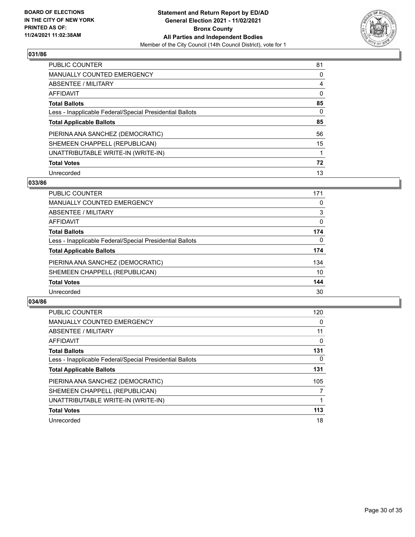

| <b>PUBLIC COUNTER</b>                                    | 81       |
|----------------------------------------------------------|----------|
| <b>MANUALLY COUNTED EMERGENCY</b>                        | 0        |
| ABSENTEE / MILITARY                                      | 4        |
| AFFIDAVIT                                                | $\Omega$ |
| <b>Total Ballots</b>                                     | 85       |
| Less - Inapplicable Federal/Special Presidential Ballots | $\Omega$ |
| <b>Total Applicable Ballots</b>                          | 85       |
| PIERINA ANA SANCHEZ (DEMOCRATIC)                         | 56       |
| SHEMEEN CHAPPELL (REPUBLICAN)                            | 15       |
| UNATTRIBUTABLE WRITE-IN (WRITE-IN)                       |          |
| <b>Total Votes</b>                                       | 72       |
| Unrecorded                                               | 13       |

## **033/86**

| <b>PUBLIC COUNTER</b>                                    | 171      |
|----------------------------------------------------------|----------|
| MANUALLY COUNTED EMERGENCY                               | 0        |
| ABSENTEE / MILITARY                                      | 3        |
| <b>AFFIDAVIT</b>                                         | 0        |
| <b>Total Ballots</b>                                     | 174      |
| Less - Inapplicable Federal/Special Presidential Ballots | $\Omega$ |
| <b>Total Applicable Ballots</b>                          | 174      |
| PIERINA ANA SANCHEZ (DEMOCRATIC)                         | 134      |
| SHEMEEN CHAPPELL (REPUBLICAN)                            | 10       |
| <b>Total Votes</b>                                       | 144      |
| Unrecorded                                               | 30       |

| <b>PUBLIC COUNTER</b>                                    | 120            |
|----------------------------------------------------------|----------------|
| <b>MANUALLY COUNTED EMERGENCY</b>                        | 0              |
| ABSENTEE / MILITARY                                      | 11             |
| AFFIDAVIT                                                | $\Omega$       |
| <b>Total Ballots</b>                                     | 131            |
| Less - Inapplicable Federal/Special Presidential Ballots | $\Omega$       |
| <b>Total Applicable Ballots</b>                          | 131            |
| PIERINA ANA SANCHEZ (DEMOCRATIC)                         | 105            |
| SHEMEEN CHAPPELL (REPUBLICAN)                            | $\overline{7}$ |
| UNATTRIBUTABLE WRITE-IN (WRITE-IN)                       |                |
| <b>Total Votes</b>                                       | 113            |
| Unrecorded                                               | 18             |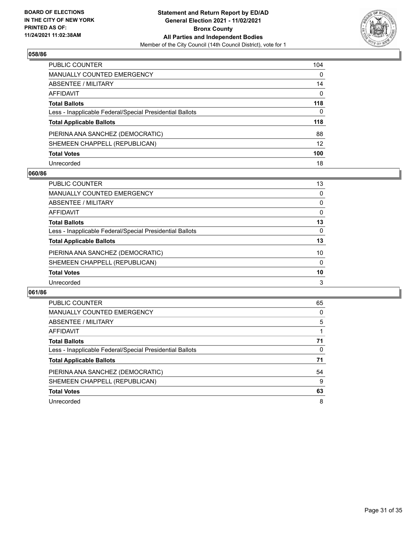

| PUBLIC COUNTER                                           | 104      |
|----------------------------------------------------------|----------|
| <b>MANUALLY COUNTED EMERGENCY</b>                        | 0        |
| <b>ABSENTEE / MILITARY</b>                               | 14       |
| <b>AFFIDAVIT</b>                                         | $\Omega$ |
| <b>Total Ballots</b>                                     | 118      |
| Less - Inapplicable Federal/Special Presidential Ballots | 0        |
| <b>Total Applicable Ballots</b>                          | 118      |
| PIERINA ANA SANCHEZ (DEMOCRATIC)                         | 88       |
| SHEMEEN CHAPPELL (REPUBLICAN)                            | 12       |
| <b>Total Votes</b>                                       | 100      |
| Unrecorded                                               | 18       |

#### **060/86**

| <b>PUBLIC COUNTER</b>                                    | 13       |
|----------------------------------------------------------|----------|
| <b>MANUALLY COUNTED EMERGENCY</b>                        | 0        |
| ABSENTEE / MILITARY                                      | $\Omega$ |
| AFFIDAVIT                                                | $\Omega$ |
| <b>Total Ballots</b>                                     | 13       |
| Less - Inapplicable Federal/Special Presidential Ballots | 0        |
| <b>Total Applicable Ballots</b>                          | 13       |
| PIERINA ANA SANCHEZ (DEMOCRATIC)                         | 10       |
| SHEMEEN CHAPPELL (REPUBLICAN)                            | $\Omega$ |
| <b>Total Votes</b>                                       | 10       |
| Unrecorded                                               | 3        |

| <b>PUBLIC COUNTER</b>                                    | 65 |
|----------------------------------------------------------|----|
| <b>MANUALLY COUNTED EMERGENCY</b>                        | 0  |
| ABSENTEE / MILITARY                                      | 5  |
| <b>AFFIDAVIT</b>                                         |    |
| <b>Total Ballots</b>                                     | 71 |
| Less - Inapplicable Federal/Special Presidential Ballots | 0  |
| <b>Total Applicable Ballots</b>                          | 71 |
| PIERINA ANA SANCHEZ (DEMOCRATIC)                         | 54 |
| SHEMEEN CHAPPELL (REPUBLICAN)                            | 9  |
| <b>Total Votes</b>                                       | 63 |
| Unrecorded                                               | 8  |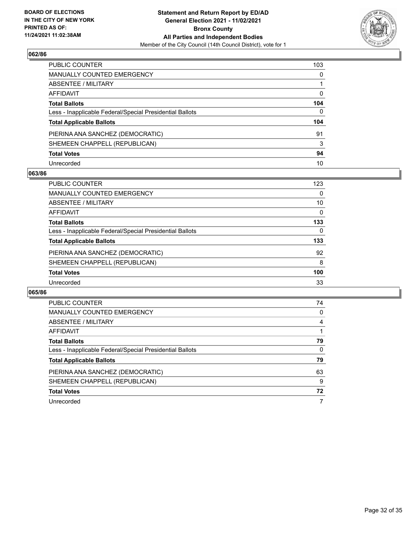

| PUBLIC COUNTER                                           | 103          |
|----------------------------------------------------------|--------------|
| <b>MANUALLY COUNTED EMERGENCY</b>                        | $\mathbf{0}$ |
| ABSENTEE / MILITARY                                      |              |
| AFFIDAVIT                                                | $\mathbf{0}$ |
| <b>Total Ballots</b>                                     | 104          |
| Less - Inapplicable Federal/Special Presidential Ballots | $\Omega$     |
| <b>Total Applicable Ballots</b>                          | 104          |
| PIERINA ANA SANCHEZ (DEMOCRATIC)                         | 91           |
| SHEMEEN CHAPPELL (REPUBLICAN)                            | 3            |
| <b>Total Votes</b>                                       | 94           |
| Unrecorded                                               | 10           |

## **063/86**

| <b>PUBLIC COUNTER</b>                                    | 123      |
|----------------------------------------------------------|----------|
| <b>MANUALLY COUNTED EMERGENCY</b>                        | $\Omega$ |
| ABSENTEE / MILITARY                                      | 10       |
| AFFIDAVIT                                                | 0        |
| <b>Total Ballots</b>                                     | 133      |
| Less - Inapplicable Federal/Special Presidential Ballots | 0        |
| <b>Total Applicable Ballots</b>                          | 133      |
| PIERINA ANA SANCHEZ (DEMOCRATIC)                         | 92       |
| SHEMEEN CHAPPELL (REPUBLICAN)                            | 8        |
| <b>Total Votes</b>                                       | 100      |
| Unrecorded                                               | 33       |

| PUBLIC COUNTER                                           | 74       |
|----------------------------------------------------------|----------|
| <b>MANUALLY COUNTED EMERGENCY</b>                        | $\Omega$ |
| ABSENTEE / MILITARY                                      | 4        |
| <b>AFFIDAVIT</b>                                         |          |
| <b>Total Ballots</b>                                     | 79       |
| Less - Inapplicable Federal/Special Presidential Ballots | 0        |
| <b>Total Applicable Ballots</b>                          | 79       |
| PIERINA ANA SANCHEZ (DEMOCRATIC)                         | 63       |
| SHEMEEN CHAPPELL (REPUBLICAN)                            | 9        |
| <b>Total Votes</b>                                       | 72       |
| Unrecorded                                               | 7        |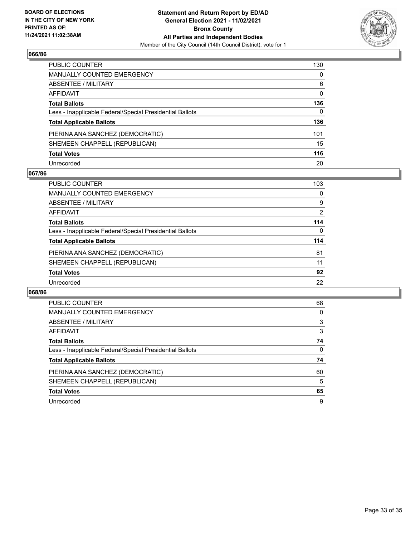

| PUBLIC COUNTER                                           | 130 |
|----------------------------------------------------------|-----|
| <b>MANUALLY COUNTED EMERGENCY</b>                        | 0   |
| <b>ABSENTEE / MILITARY</b>                               | 6   |
| AFFIDAVIT                                                | 0   |
| <b>Total Ballots</b>                                     | 136 |
| Less - Inapplicable Federal/Special Presidential Ballots | 0   |
| <b>Total Applicable Ballots</b>                          | 136 |
| PIERINA ANA SANCHEZ (DEMOCRATIC)                         | 101 |
| SHEMEEN CHAPPELL (REPUBLICAN)                            | 15  |
| <b>Total Votes</b>                                       | 116 |
| Unrecorded                                               | 20  |

## **067/86**

| <b>PUBLIC COUNTER</b>                                    | 103      |
|----------------------------------------------------------|----------|
| <b>MANUALLY COUNTED EMERGENCY</b>                        | 0        |
| ABSENTEE / MILITARY                                      | 9        |
| AFFIDAVIT                                                | 2        |
| <b>Total Ballots</b>                                     | 114      |
| Less - Inapplicable Federal/Special Presidential Ballots | $\Omega$ |
| <b>Total Applicable Ballots</b>                          | 114      |
| PIERINA ANA SANCHEZ (DEMOCRATIC)                         | 81       |
| SHEMEEN CHAPPELL (REPUBLICAN)                            | 11       |
| <b>Total Votes</b>                                       | 92       |
| Unrecorded                                               | 22       |

| PUBLIC COUNTER                                           | 68       |
|----------------------------------------------------------|----------|
| <b>MANUALLY COUNTED EMERGENCY</b>                        | $\Omega$ |
| ABSENTEE / MILITARY                                      | 3        |
| AFFIDAVIT                                                | 3        |
| <b>Total Ballots</b>                                     | 74       |
| Less - Inapplicable Federal/Special Presidential Ballots | $\Omega$ |
| <b>Total Applicable Ballots</b>                          | 74       |
| PIERINA ANA SANCHEZ (DEMOCRATIC)                         | 60       |
| SHEMEEN CHAPPELL (REPUBLICAN)                            | 5        |
| <b>Total Votes</b>                                       | 65       |
| Unrecorded                                               | 9        |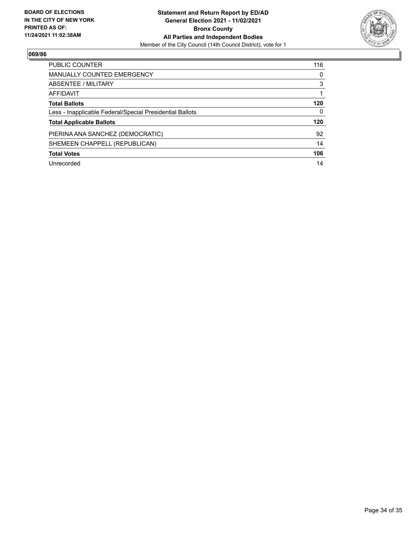

| <b>PUBLIC COUNTER</b>                                    | 116 |
|----------------------------------------------------------|-----|
| <b>MANUALLY COUNTED EMERGENCY</b>                        | 0   |
| ABSENTEE / MILITARY                                      | 3   |
| AFFIDAVIT                                                |     |
| <b>Total Ballots</b>                                     | 120 |
| Less - Inapplicable Federal/Special Presidential Ballots | 0   |
| <b>Total Applicable Ballots</b>                          | 120 |
| PIERINA ANA SANCHEZ (DEMOCRATIC)                         | 92  |
| SHEMEEN CHAPPELL (REPUBLICAN)                            | 14  |
| <b>Total Votes</b>                                       | 106 |
| Unrecorded                                               | 14  |